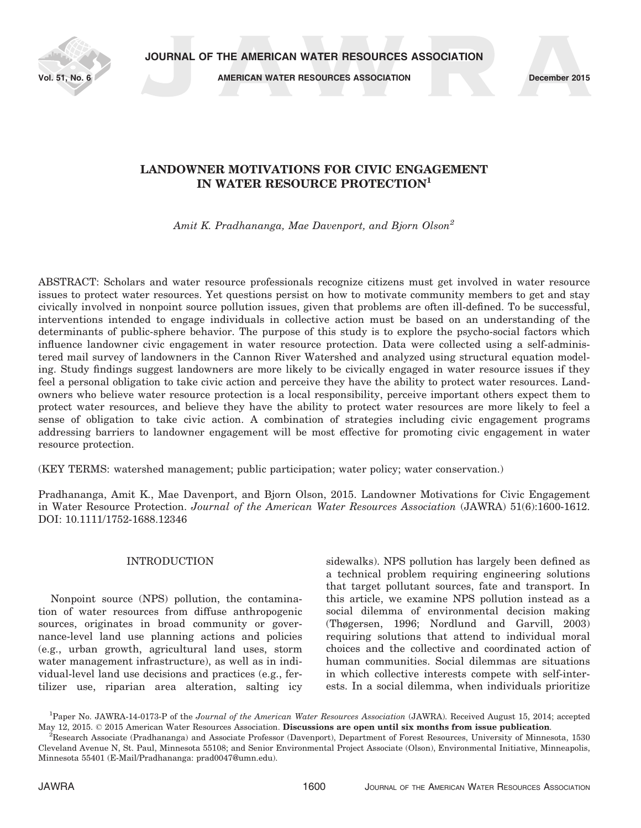

JOURNAL OF THE AMERICAN WATER RESOURCES ASSOCIATION

AMERICAN WATER RESOURCES ASSOCIATION **December 2015** 

# LANDOWNER MOTIVATIONS FOR CIVIC ENGAGEMENT IN WATER RESOURCE PROTECTION<sup>1</sup>

Amit K. Pradhananga, Mae Davenport, and Bjorn Olson<sup>2</sup>

ABSTRACT: Scholars and water resource professionals recognize citizens must get involved in water resource issues to protect water resources. Yet questions persist on how to motivate community members to get and stay civically involved in nonpoint source pollution issues, given that problems are often ill-defined. To be successful, interventions intended to engage individuals in collective action must be based on an understanding of the determinants of public-sphere behavior. The purpose of this study is to explore the psycho-social factors which influence landowner civic engagement in water resource protection. Data were collected using a self-administered mail survey of landowners in the Cannon River Watershed and analyzed using structural equation modeling. Study findings suggest landowners are more likely to be civically engaged in water resource issues if they feel a personal obligation to take civic action and perceive they have the ability to protect water resources. Landowners who believe water resource protection is a local responsibility, perceive important others expect them to protect water resources, and believe they have the ability to protect water resources are more likely to feel a sense of obligation to take civic action. A combination of strategies including civic engagement programs addressing barriers to landowner engagement will be most effective for promoting civic engagement in water resource protection.

(KEY TERMS: watershed management; public participation; water policy; water conservation.)

Pradhananga, Amit K., Mae Davenport, and Bjorn Olson, 2015. Landowner Motivations for Civic Engagement in Water Resource Protection. Journal of the American Water Resources Association (JAWRA) 51(6):1600-1612. DOI: [10.1111/1752-1688.12346](info:doi/10.1111/1752-1688.12346)

### INTRODUCTION

Nonpoint source (NPS) pollution, the contamination of water resources from diffuse anthropogenic sources, originates in broad community or governance-level land use planning actions and policies (e.g., urban growth, agricultural land uses, storm water management infrastructure), as well as in individual-level land use decisions and practices (e.g., fertilizer use, riparian area alteration, salting icy

sidewalks). NPS pollution has largely been defined as a technical problem requiring engineering solutions that target pollutant sources, fate and transport. In this article, we examine NPS pollution instead as a social dilemma of environmental decision making (Thøgersen, 1996; Nordlund and Garvill, 2003) requiring solutions that attend to individual moral choices and the collective and coordinated action of human communities. Social dilemmas are situations in which collective interests compete with self-interests. In a social dilemma, when individuals prioritize

<sup>&</sup>lt;sup>1</sup>Paper No. JAWRA-14-0173-P of the Journal of the American Water Resources Association (JAWRA). Received August 15, 2014; accepted May 12, 2015. © 2015 American Water Resources Association. Discussions are open until six months from issue publication.

<sup>&</sup>lt;sup>2</sup>Research Associate (Pradhananga) and Associate Professor (Davenport), Department of Forest Resources, University of Minnesota, 1530 Cleveland Avenue N, St. Paul, Minnesota 55108; and Senior Environmental Project Associate (Olson), Environmental Initiative, Minneapolis, Minnesota 55401 (E-Mail/Pradhananga: prad0047@umn.edu).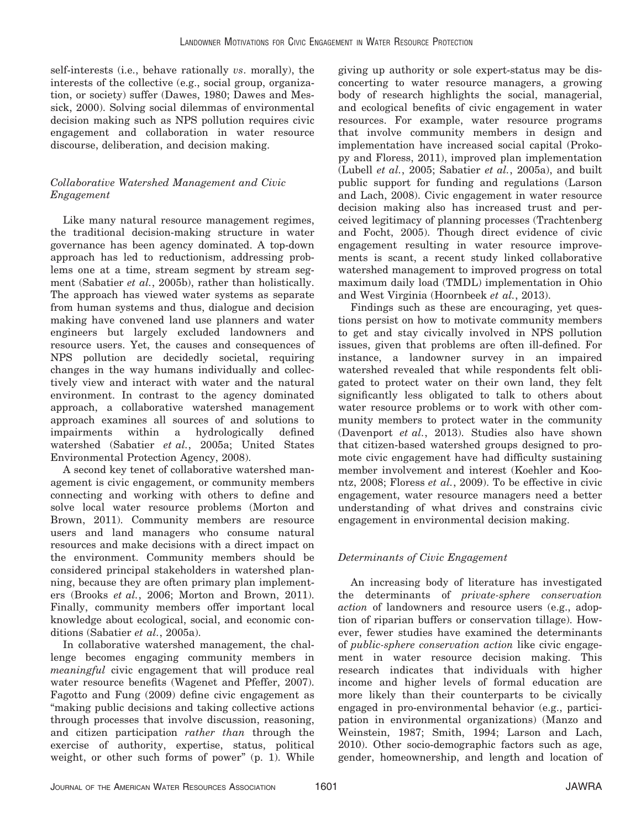self-interests (i.e., behave rationally vs. morally), the interests of the collective (e.g., social group, organization, or society) suffer (Dawes, 1980; Dawes and Messick, 2000). Solving social dilemmas of environmental decision making such as NPS pollution requires civic engagement and collaboration in water resource discourse, deliberation, and decision making.

## Collaborative Watershed Management and Civic Engagement

Like many natural resource management regimes, the traditional decision-making structure in water governance has been agency dominated. A top-down approach has led to reductionism, addressing problems one at a time, stream segment by stream segment (Sabatier *et al.*, 2005b), rather than holistically. The approach has viewed water systems as separate from human systems and thus, dialogue and decision making have convened land use planners and water engineers but largely excluded landowners and resource users. Yet, the causes and consequences of NPS pollution are decidedly societal, requiring changes in the way humans individually and collectively view and interact with water and the natural environment. In contrast to the agency dominated approach, a collaborative watershed management approach examines all sources of and solutions to impairments within a hydrologically defined watershed (Sabatier et al., 2005a; United States Environmental Protection Agency, 2008).

A second key tenet of collaborative watershed management is civic engagement, or community members connecting and working with others to define and solve local water resource problems (Morton and Brown, 2011). Community members are resource users and land managers who consume natural resources and make decisions with a direct impact on the environment. Community members should be considered principal stakeholders in watershed planning, because they are often primary plan implementers (Brooks et al., 2006; Morton and Brown, 2011). Finally, community members offer important local knowledge about ecological, social, and economic conditions (Sabatier et al., 2005a).

In collaborative watershed management, the challenge becomes engaging community members in meaningful civic engagement that will produce real water resource benefits (Wagenet and Pfeffer, 2007). Fagotto and Fung (2009) define civic engagement as "making public decisions and taking collective actions through processes that involve discussion, reasoning, and citizen participation rather than through the exercise of authority, expertise, status, political weight, or other such forms of power" (p. 1). While giving up authority or sole expert-status may be disconcerting to water resource managers, a growing body of research highlights the social, managerial, and ecological benefits of civic engagement in water resources. For example, water resource programs that involve community members in design and implementation have increased social capital (Prokopy and Floress, 2011), improved plan implementation (Lubell et al., 2005; Sabatier et al., 2005a), and built public support for funding and regulations (Larson and Lach, 2008). Civic engagement in water resource decision making also has increased trust and perceived legitimacy of planning processes (Trachtenberg and Focht, 2005). Though direct evidence of civic engagement resulting in water resource improvements is scant, a recent study linked collaborative watershed management to improved progress on total maximum daily load (TMDL) implementation in Ohio and West Virginia (Hoornbeek et al., 2013).

Findings such as these are encouraging, yet questions persist on how to motivate community members to get and stay civically involved in NPS pollution issues, given that problems are often ill-defined. For instance, a landowner survey in an impaired watershed revealed that while respondents felt obligated to protect water on their own land, they felt significantly less obligated to talk to others about water resource problems or to work with other community members to protect water in the community (Davenport et al., 2013). Studies also have shown that citizen-based watershed groups designed to promote civic engagement have had difficulty sustaining member involvement and interest (Koehler and Koontz, 2008; Floress et al., 2009). To be effective in civic engagement, water resource managers need a better understanding of what drives and constrains civic engagement in environmental decision making.

# Determinants of Civic Engagement

An increasing body of literature has investigated the determinants of private-sphere conservation action of landowners and resource users (e.g., adoption of riparian buffers or conservation tillage). However, fewer studies have examined the determinants of public-sphere conservation action like civic engagement in water resource decision making. This research indicates that individuals with higher income and higher levels of formal education are more likely than their counterparts to be civically engaged in pro-environmental behavior (e.g., participation in environmental organizations) (Manzo and Weinstein, 1987; Smith, 1994; Larson and Lach, 2010). Other socio-demographic factors such as age, gender, homeownership, and length and location of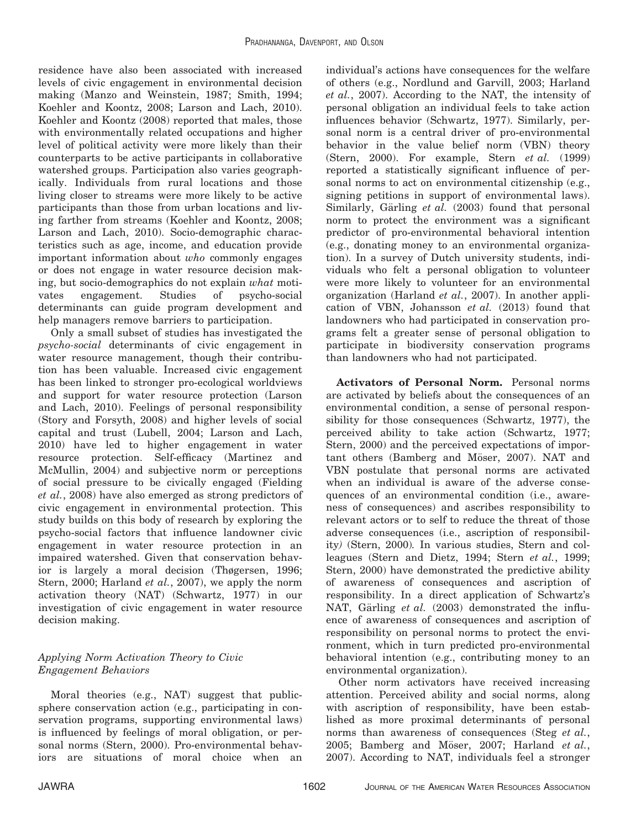residence have also been associated with increased levels of civic engagement in environmental decision making (Manzo and Weinstein, 1987; Smith, 1994; Koehler and Koontz, 2008; Larson and Lach, 2010). Koehler and Koontz (2008) reported that males, those with environmentally related occupations and higher level of political activity were more likely than their counterparts to be active participants in collaborative watershed groups. Participation also varies geographically. Individuals from rural locations and those living closer to streams were more likely to be active participants than those from urban locations and living farther from streams (Koehler and Koontz, 2008; Larson and Lach, 2010). Socio-demographic characteristics such as age, income, and education provide important information about who commonly engages or does not engage in water resource decision making, but socio-demographics do not explain what motivates engagement. Studies of psycho-social determinants can guide program development and help managers remove barriers to participation.

Only a small subset of studies has investigated the psycho-social determinants of civic engagement in water resource management, though their contribution has been valuable. Increased civic engagement has been linked to stronger pro-ecological worldviews and support for water resource protection (Larson and Lach, 2010). Feelings of personal responsibility (Story and Forsyth, 2008) and higher levels of social capital and trust (Lubell, 2004; Larson and Lach, 2010) have led to higher engagement in water resource protection. Self-efficacy (Martinez and McMullin, 2004) and subjective norm or perceptions of social pressure to be civically engaged (Fielding et al., 2008) have also emerged as strong predictors of civic engagement in environmental protection. This study builds on this body of research by exploring the psycho-social factors that influence landowner civic engagement in water resource protection in an impaired watershed. Given that conservation behavior is largely a moral decision (Thøgersen, 1996; Stern, 2000; Harland *et al.*, 2007), we apply the norm activation theory (NAT) (Schwartz, 1977) in our investigation of civic engagement in water resource decision making.

# Applying Norm Activation Theory to Civic Engagement Behaviors

Moral theories (e.g., NAT) suggest that publicsphere conservation action (e.g., participating in conservation programs, supporting environmental laws) is influenced by feelings of moral obligation, or personal norms (Stern, 2000). Pro-environmental behaviors are situations of moral choice when an individual's actions have consequences for the welfare of others (e.g., Nordlund and Garvill, 2003; Harland et al., 2007). According to the NAT, the intensity of personal obligation an individual feels to take action influences behavior (Schwartz, 1977). Similarly, personal norm is a central driver of pro-environmental behavior in the value belief norm (VBN) theory (Stern, 2000). For example, Stern et al. (1999) reported a statistically significant influence of personal norms to act on environmental citizenship (e.g., signing petitions in support of environmental laws). Similarly, Gärling  $et$  al. (2003) found that personal norm to protect the environment was a significant predictor of pro-environmental behavioral intention (e.g., donating money to an environmental organization). In a survey of Dutch university students, individuals who felt a personal obligation to volunteer were more likely to volunteer for an environmental organization (Harland et al., 2007). In another application of VBN, Johansson et al. (2013) found that landowners who had participated in conservation programs felt a greater sense of personal obligation to participate in biodiversity conservation programs than landowners who had not participated.

Activators of Personal Norm. Personal norms are activated by beliefs about the consequences of an environmental condition, a sense of personal responsibility for those consequences (Schwartz, 1977), the perceived ability to take action (Schwartz, 1977; Stern, 2000) and the perceived expectations of important others (Bamberg and Möser, 2007). NAT and VBN postulate that personal norms are activated when an individual is aware of the adverse consequences of an environmental condition (i.e., awareness of consequences) and ascribes responsibility to relevant actors or to self to reduce the threat of those adverse consequences (i.e., ascription of responsibility) (Stern, 2000). In various studies, Stern and colleagues (Stern and Dietz, 1994; Stern et al., 1999; Stern, 2000) have demonstrated the predictive ability of awareness of consequences and ascription of responsibility. In a direct application of Schwartz's NAT, Gärling *et al.*  $(2003)$  demonstrated the influence of awareness of consequences and ascription of responsibility on personal norms to protect the environment, which in turn predicted pro-environmental behavioral intention (e.g., contributing money to an environmental organization).

Other norm activators have received increasing attention. Perceived ability and social norms, along with ascription of responsibility, have been established as more proximal determinants of personal norms than awareness of consequences (Steg et al., 2005; Bamberg and Möser, 2007; Harland et al., 2007). According to NAT, individuals feel a stronger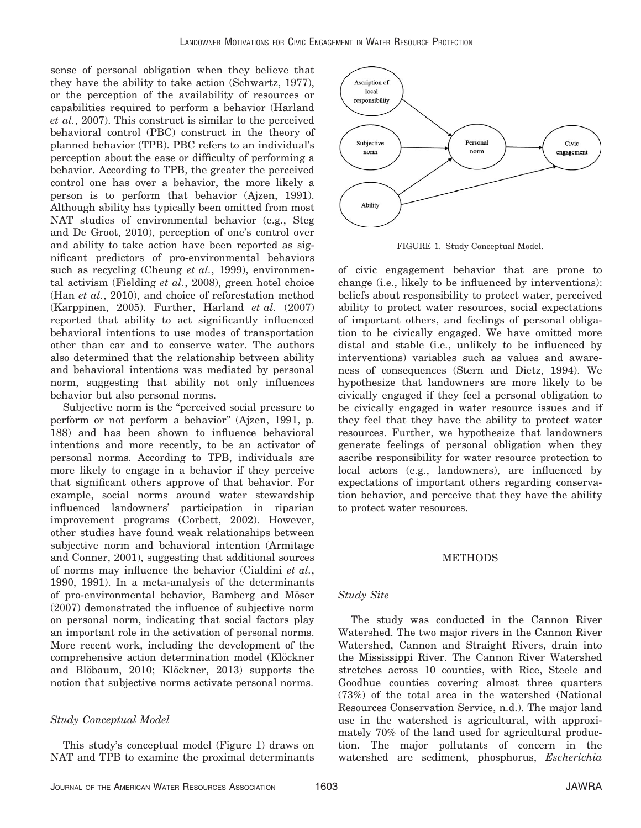sense of personal obligation when they believe that they have the ability to take action (Schwartz, 1977), or the perception of the availability of resources or capabilities required to perform a behavior (Harland et al., 2007). This construct is similar to the perceived behavioral control (PBC) construct in the theory of planned behavior (TPB). PBC refers to an individual's perception about the ease or difficulty of performing a behavior. According to TPB, the greater the perceived control one has over a behavior, the more likely a person is to perform that behavior (Ajzen, 1991). Although ability has typically been omitted from most NAT studies of environmental behavior (e.g., Steg and De Groot, 2010), perception of one's control over and ability to take action have been reported as significant predictors of pro-environmental behaviors such as recycling (Cheung et al., 1999), environmental activism (Fielding *et al.*, 2008), green hotel choice (Han et al., 2010), and choice of reforestation method (Karppinen, 2005). Further, Harland et al. (2007) reported that ability to act significantly influenced behavioral intentions to use modes of transportation other than car and to conserve water. The authors also determined that the relationship between ability and behavioral intentions was mediated by personal norm, suggesting that ability not only influences behavior but also personal norms.

Subjective norm is the "perceived social pressure to perform or not perform a behavior" (Ajzen, 1991, p. 188) and has been shown to influence behavioral intentions and more recently, to be an activator of personal norms. According to TPB, individuals are more likely to engage in a behavior if they perceive that significant others approve of that behavior. For example, social norms around water stewardship influenced landowners' participation in riparian improvement programs (Corbett, 2002). However, other studies have found weak relationships between subjective norm and behavioral intention (Armitage and Conner, 2001), suggesting that additional sources of norms may influence the behavior (Cialdini et al., 1990, 1991). In a meta-analysis of the determinants of pro-environmental behavior, Bamberg and Möser (2007) demonstrated the influence of subjective norm on personal norm, indicating that social factors play an important role in the activation of personal norms. More recent work, including the development of the comprehensive action determination model (Klöckner and Blöbaum, 2010; Klöckner, 2013) supports the notion that subjective norms activate personal norms.

### Study Conceptual Model

This study's conceptual model (Figure 1) draws on NAT and TPB to examine the proximal determinants



FIGURE 1. Study Conceptual Model.

of civic engagement behavior that are prone to change (i.e., likely to be influenced by interventions): beliefs about responsibility to protect water, perceived ability to protect water resources, social expectations of important others, and feelings of personal obligation to be civically engaged. We have omitted more distal and stable (i.e., unlikely to be influenced by interventions) variables such as values and awareness of consequences (Stern and Dietz, 1994). We hypothesize that landowners are more likely to be civically engaged if they feel a personal obligation to be civically engaged in water resource issues and if they feel that they have the ability to protect water resources. Further, we hypothesize that landowners generate feelings of personal obligation when they ascribe responsibility for water resource protection to local actors (e.g., landowners), are influenced by expectations of important others regarding conservation behavior, and perceive that they have the ability to protect water resources.

### METHODS

### Study Site

The study was conducted in the Cannon River Watershed. The two major rivers in the Cannon River Watershed, Cannon and Straight Rivers, drain into the Mississippi River. The Cannon River Watershed stretches across 10 counties, with Rice, Steele and Goodhue counties covering almost three quarters (73%) of the total area in the watershed (National Resources Conservation Service, n.d.). The major land use in the watershed is agricultural, with approximately 70% of the land used for agricultural production. The major pollutants of concern in the watershed are sediment, phosphorus, Escherichia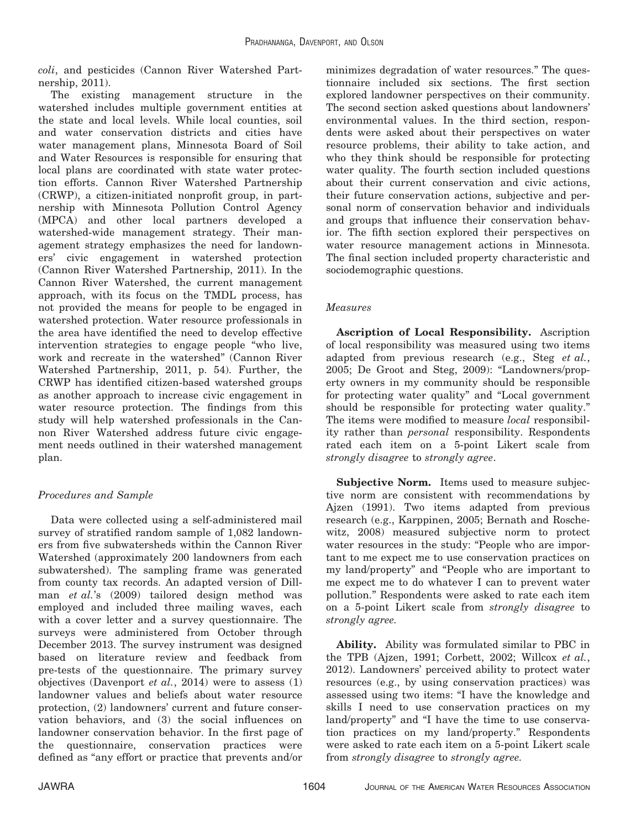coli, and pesticides (Cannon River Watershed Partnership, 2011).

The existing management structure in the watershed includes multiple government entities at the state and local levels. While local counties, soil and water conservation districts and cities have water management plans, Minnesota Board of Soil and Water Resources is responsible for ensuring that local plans are coordinated with state water protection efforts. Cannon River Watershed Partnership (CRWP), a citizen-initiated nonprofit group, in partnership with Minnesota Pollution Control Agency (MPCA) and other local partners developed a watershed-wide management strategy. Their management strategy emphasizes the need for landowners' civic engagement in watershed protection (Cannon River Watershed Partnership, 2011). In the Cannon River Watershed, the current management approach, with its focus on the TMDL process, has not provided the means for people to be engaged in watershed protection. Water resource professionals in the area have identified the need to develop effective intervention strategies to engage people "who live, work and recreate in the watershed" (Cannon River Watershed Partnership, 2011, p. 54). Further, the CRWP has identified citizen-based watershed groups as another approach to increase civic engagement in water resource protection. The findings from this study will help watershed professionals in the Cannon River Watershed address future civic engagement needs outlined in their watershed management plan.

# Procedures and Sample

Data were collected using a self-administered mail survey of stratified random sample of 1,082 landowners from five subwatersheds within the Cannon River Watershed (approximately 200 landowners from each subwatershed). The sampling frame was generated from county tax records. An adapted version of Dillman et al.'s (2009) tailored design method was employed and included three mailing waves, each with a cover letter and a survey questionnaire. The surveys were administered from October through December 2013. The survey instrument was designed based on literature review and feedback from pre-tests of the questionnaire. The primary survey objectives (Davenport *et al.*, 2014) were to assess  $(1)$ landowner values and beliefs about water resource protection, (2) landowners' current and future conservation behaviors, and (3) the social influences on landowner conservation behavior. In the first page of the questionnaire, conservation practices were defined as "any effort or practice that prevents and/or

minimizes degradation of water resources." The questionnaire included six sections. The first section explored landowner perspectives on their community. The second section asked questions about landowners' environmental values. In the third section, respondents were asked about their perspectives on water resource problems, their ability to take action, and who they think should be responsible for protecting water quality. The fourth section included questions about their current conservation and civic actions, their future conservation actions, subjective and personal norm of conservation behavior and individuals and groups that influence their conservation behavior. The fifth section explored their perspectives on water resource management actions in Minnesota. The final section included property characteristic and sociodemographic questions.

# Measures

Ascription of Local Responsibility. Ascription of local responsibility was measured using two items adapted from previous research (e.g., Steg et al., 2005; De Groot and Steg, 2009): "Landowners/property owners in my community should be responsible for protecting water quality" and "Local government should be responsible for protecting water quality." The items were modified to measure *local* responsibility rather than personal responsibility. Respondents rated each item on a 5-point Likert scale from strongly disagree to strongly agree.

Subjective Norm. Items used to measure subjective norm are consistent with recommendations by Ajzen (1991). Two items adapted from previous research (e.g., Karppinen, 2005; Bernath and Roschewitz, 2008) measured subjective norm to protect water resources in the study: "People who are important to me expect me to use conservation practices on my land/property" and "People who are important to me expect me to do whatever I can to prevent water pollution." Respondents were asked to rate each item on a 5-point Likert scale from strongly disagree to strongly agree.

Ability. Ability was formulated similar to PBC in the TPB (Ajzen, 1991; Corbett, 2002; Willcox et al., 2012). Landowners' perceived ability to protect water resources (e.g., by using conservation practices) was assessed using two items: "I have the knowledge and skills I need to use conservation practices on my land/property" and "I have the time to use conservation practices on my land/property." Respondents were asked to rate each item on a 5-point Likert scale from strongly disagree to strongly agree.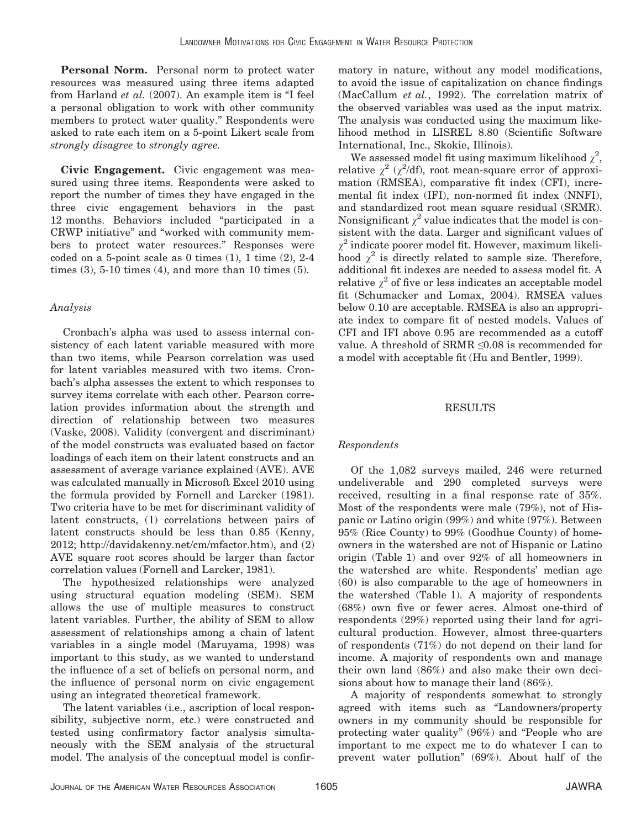Personal Norm. Personal norm to protect water resources was measured using three items adapted from Harland et al. (2007). An example item is "I feel a personal obligation to work with other community members to protect water quality." Respondents were asked to rate each item on a 5-point Likert scale from strongly disagree to strongly agree.

Civic Engagement. Civic engagement was measured using three items. Respondents were asked to report the number of times they have engaged in the three civic engagement behaviors in the past 12 months. Behaviors included "participated in a CRWP initiative" and "worked with community members to protect water resources." Responses were coded on a 5-point scale as  $0$  times  $(1)$ ,  $1$  time  $(2)$ ,  $2-4$ times  $(3)$ , 5-10 times  $(4)$ , and more than 10 times  $(5)$ .

## Analysis

Cronbach's alpha was used to assess internal consistency of each latent variable measured with more than two items, while Pearson correlation was used for latent variables measured with two items. Cronbach's alpha assesses the extent to which responses to survey items correlate with each other. Pearson correlation provides information about the strength and direction of relationship between two measures (Vaske, 2008). Validity (convergent and discriminant) of the model constructs was evaluated based on factor loadings of each item on their latent constructs and an assessment of average variance explained (AVE). AVE was calculated manually in Microsoft Excel 2010 using the formula provided by Fornell and Larcker (1981). Two criteria have to be met for discriminant validity of latent constructs, (1) correlations between pairs of latent constructs should be less than 0.85 (Kenny, 2012; [http://davidakenny.net/cm/mfactor.htm\)](http://davidakenny.net/cm/mfactor.htm), and (2) AVE square root scores should be larger than factor correlation values (Fornell and Larcker, 1981).

The hypothesized relationships were analyzed using structural equation modeling (SEM). SEM allows the use of multiple measures to construct latent variables. Further, the ability of SEM to allow assessment of relationships among a chain of latent variables in a single model (Maruyama, 1998) was important to this study, as we wanted to understand the influence of a set of beliefs on personal norm, and the influence of personal norm on civic engagement using an integrated theoretical framework.

The latent variables (i.e., ascription of local responsibility, subjective norm, etc.) were constructed and tested using confirmatory factor analysis simultaneously with the SEM analysis of the structural model. The analysis of the conceptual model is confirmatory in nature, without any model modifications, to avoid the issue of capitalization on chance findings (MacCallum et al., 1992). The correlation matrix of the observed variables was used as the input matrix. The analysis was conducted using the maximum likelihood method in LISREL 8.80 (Scientific Software International, Inc., Skokie, Illinois).

We assessed model fit using maximum likelihood  $\chi^2$ , relative  $\chi^2$  ( $\chi^2$ /df), root mean-square error of approximation (RMSEA), comparative fit index (CFI), incremental fit index (IFI), non-normed fit index (NNFI), and standardized root mean square residual (SRMR). Nonsignificant  $\chi^2$  value indicates that the model is consistent with the data. Larger and significant values of  $\gamma^2$  indicate poorer model fit. However, maximum likelihood  $\chi^2$  is directly related to sample size. Therefore, additional fit indexes are needed to assess model fit. A relative  $\chi^2$  of five or less indicates an acceptable model fit (Schumacker and Lomax, 2004). RMSEA values below 0.10 are acceptable. RMSEA is also an appropriate index to compare fit of nested models. Values of CFI and IFI above 0.95 are recommended as a cutoff value. A threshold of SRMR ≤0.08 is recommended for a model with acceptable fit (Hu and Bentler, 1999).

### RESULTS

## Respondents

Of the 1,082 surveys mailed, 246 were returned undeliverable and 290 completed surveys were received, resulting in a final response rate of 35%. Most of the respondents were male (79%), not of Hispanic or Latino origin (99%) and white (97%). Between 95% (Rice County) to 99% (Goodhue County) of homeowners in the watershed are not of Hispanic or Latino origin (Table 1) and over 92% of all homeowners in the watershed are white. Respondents' median age (60) is also comparable to the age of homeowners in the watershed (Table 1). A majority of respondents (68%) own five or fewer acres. Almost one-third of respondents (29%) reported using their land for agricultural production. However, almost three-quarters of respondents (71%) do not depend on their land for income. A majority of respondents own and manage their own land (86%) and also make their own decisions about how to manage their land (86%).

A majority of respondents somewhat to strongly agreed with items such as "Landowners/property owners in my community should be responsible for protecting water quality" (96%) and "People who are important to me expect me to do whatever I can to prevent water pollution" (69%). About half of the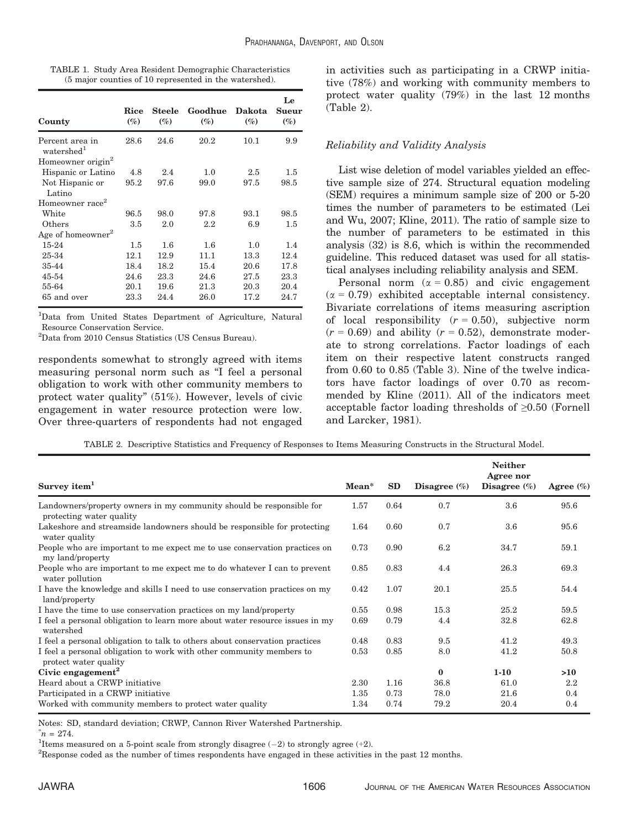| County                                    | Rice<br>$(\%)$ | <b>Steele</b><br>$(\%)$ | Goodhue<br>$(\%)$ | Dakota<br>$(\%)$ | Le<br>Sueur<br>$(\%)$ |
|-------------------------------------------|----------------|-------------------------|-------------------|------------------|-----------------------|
| Percent area in<br>watershed <sup>1</sup> | 28.6           | 24.6                    | 20.2              | 10.1             | 9.9                   |
| Homeowner origin <sup>2</sup>             |                |                         |                   |                  |                       |
| Hispanic or Latino                        | 4.8            | 2.4                     | 1.0               | 2.5              | $1.5\,$               |
| Not Hispanic or<br>Latino                 | 95.2           | 97.6                    | 99.0              | 97.5             | 98.5                  |
| Homeowner race <sup>2</sup>               |                |                         |                   |                  |                       |
| White                                     | 96.5           | 98.0                    | 97.8              | 93.1             | 98.5                  |
| Others                                    | 3.5            | 2.0                     | $2.2\,$           | 6.9              | $1.5\,$               |
| Age of homeowner <sup>2</sup>             |                |                         |                   |                  |                       |
| $15-24$                                   | 1.5            | 1.6                     | 1.6               | 1.0              | 1.4                   |
| 25-34                                     | 12.1           | 12.9                    | 11.1              | 13.3             | 12.4                  |
| 35-44                                     | 18.4           | 18.2                    | 15.4              | 20.6             | 17.8                  |
| $45 - 54$                                 | 24.6           | 23.3                    | 24.6              | 27.5             | 23.3                  |
| 55-64                                     | 20.1           | 19.6                    | $21.3\,$          | 20.3             | 20.4                  |
| 65 and over                               | 23.3           | 24.4                    | 26.0              | 17.2             | 24.7                  |

TABLE 1. Study Area Resident Demographic Characteristics (5 major counties of 10 represented in the watershed).

<sup>1</sup>Data from United States Department of Agriculture, Natural Resource Conservation Service.

2 Data from 2010 Census Statistics (US Census Bureau).

respondents somewhat to strongly agreed with items measuring personal norm such as "I feel a personal obligation to work with other community members to protect water quality" (51%). However, levels of civic engagement in water resource protection were low. Over three-quarters of respondents had not engaged in activities such as participating in a CRWP initiative (78%) and working with community members to protect water quality (79%) in the last 12 months (Table 2).

### Reliability and Validity Analysis

List wise deletion of model variables yielded an effective sample size of 274. Structural equation modeling (SEM) requires a minimum sample size of 200 or 5-20 times the number of parameters to be estimated (Lei and Wu, 2007; Kline, 2011). The ratio of sample size to the number of parameters to be estimated in this analysis (32) is 8.6, which is within the recommended guideline. This reduced dataset was used for all statistical analyses including reliability analysis and SEM.

Personal norm  $(\alpha = 0.85)$  and civic engagement  $(\alpha = 0.79)$  exhibited acceptable internal consistency. Bivariate correlations of items measuring ascription of local responsibility  $(r = 0.50)$ , subjective norm  $(r = 0.69)$  and ability  $(r = 0.52)$ , demonstrate moderate to strong correlations. Factor loadings of each item on their respective latent constructs ranged from 0.60 to 0.85 (Table 3). Nine of the twelve indicators have factor loadings of over 0.70 as recommended by Kline (2011). All of the indicators meet acceptable factor loading thresholds of ≥0.50 (Fornell and Larcker, 1981).

TABLE 2. Descriptive Statistics and Frequency of Responses to Items Measuring Constructs in the Structural Model.

|                                                                                                  |         |      |                  | <b>Neither</b><br>Agree nor |               |
|--------------------------------------------------------------------------------------------------|---------|------|------------------|-----------------------------|---------------|
| Survey item <sup>1</sup>                                                                         | $Mean*$ | SD   | Disagree $(\% )$ | Disagree $(\% )$            | Agree $(\% )$ |
| Landowners/property owners in my community should be responsible for<br>protecting water quality | 1.57    | 0.64 | 0.7              | 3.6                         | 95.6          |
| Lakeshore and streamside landowners should be responsible for protecting<br>water quality        | 1.64    | 0.60 | 0.7              | 3.6                         | 95.6          |
| People who are important to me expect me to use conservation practices on<br>my land/property    | 0.73    | 0.90 | 6.2              | 34.7                        | 59.1          |
| People who are important to me expect me to do whatever I can to prevent<br>water pollution      | 0.85    | 0.83 | 4.4              | 26.3                        | 69.3          |
| I have the knowledge and skills I need to use conservation practices on my<br>land/property      | 0.42    | 1.07 | 20.1             | 25.5                        | 54.4          |
| I have the time to use conservation practices on my land/property                                | 0.55    | 0.98 | 15.3             | 25.2                        | 59.5          |
| I feel a personal obligation to learn more about water resource issues in my<br>watershed        | 0.69    | 0.79 | 4.4              | 32.8                        | 62.8          |
| I feel a personal obligation to talk to others about conservation practices                      | 0.48    | 0.83 | 9.5              | 41.2                        | 49.3          |
| I feel a personal obligation to work with other community members to<br>protect water quality    | 0.53    | 0.85 | 8.0              | 41.2                        | 50.8          |
| Civic engagement <sup>2</sup>                                                                    |         |      | $\mathbf{0}$     | $1-10$                      | >10           |
| Heard about a CRWP initiative                                                                    | 2.30    | 1.16 | 36.8             | 61.0                        | $2.2\,$       |
| Participated in a CRWP initiative                                                                | 1.35    | 0.73 | 78.0             | 21.6                        | 0.4           |
| Worked with community members to protect water quality                                           | 1.34    | 0.74 | 79.2             | 20.4                        | 0.4           |

Notes: SD, standard deviation; CRWP, Cannon River Watershed Partnership.

 $n = 274.$ <sup>1</sup>Items m

<sup>1</sup>Items measured on a 5-point scale from strongly disagree  $(-2)$  to strongly agree  $(+2)$ .

 $R$ esponse coded as the number of times respondents have engaged in these activities in the past 12 months.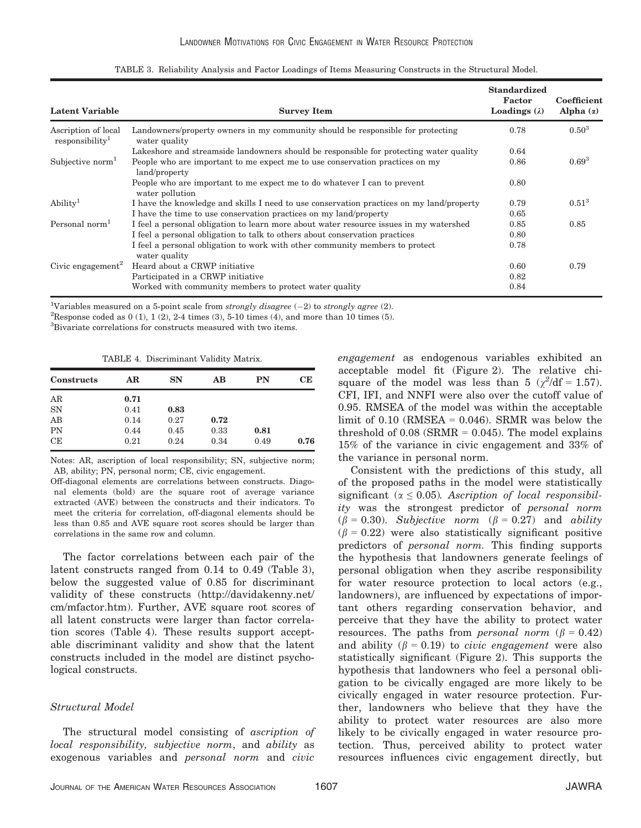| <b>Latent Variable</b>                             | <b>Survey Item</b>                                                                               | <b>Standardized</b><br>Factor<br>Loadings $(\lambda)$ | Coefficient<br>Alpha $(\alpha)$ |
|----------------------------------------------------|--------------------------------------------------------------------------------------------------|-------------------------------------------------------|---------------------------------|
| Ascription of local<br>responsibleity <sup>1</sup> | Landowners/property owners in my community should be responsible for protecting<br>water quality | 0.78                                                  | $0.50^{3}$                      |
|                                                    | Lakeshore and streamside landowners should be responsible for protecting water quality           | 0.64                                                  |                                 |
| Subjective norm <sup>1</sup>                       | People who are important to me expect me to use conservation practices on my<br>land/property    | 0.86                                                  | $0.69^{3}$                      |
|                                                    | People who are important to me expect me to do whatever I can to prevent<br>water pollution      | 0.80                                                  |                                 |
| $\mathrm{Ablitv}^1$                                | I have the knowledge and skills I need to use conservation practices on my land/property         | 0.79                                                  | $0.51^{3}$                      |
|                                                    | I have the time to use conservation practices on my land/property                                | 0.65                                                  |                                 |
| Personal norm <sup>1</sup>                         | I feel a personal obligation to learn more about water resource issues in my watershed           | 0.85                                                  | 0.85                            |
|                                                    | I feel a personal obligation to talk to others about conservation practices                      | 0.80                                                  |                                 |
|                                                    | I feel a personal obligation to work with other community members to protect<br>water quality    | 0.78                                                  |                                 |
| Civic engagement <sup>2</sup>                      | Heard about a CRWP initiative                                                                    | 0.60                                                  | 0.79                            |
|                                                    | Participated in a CRWP initiative                                                                | 0.82                                                  |                                 |
|                                                    | Worked with community members to protect water quality                                           | 0.84                                                  |                                 |

TABLE 3. Reliability Analysis and Factor Loadings of Items Measuring Constructs in the Structural Model.

<sup>1</sup>Variables measured on a 5-point scale from *strongly disagree* (-2) to *strongly agree* (2).<br><sup>2</sup>Respects coded as 0.(1), 1.(2), 2.4 times (3), 5.10 times (4), and mare than 10 times (5).

<sup>2</sup>Response coded as 0 (1), 1 (2), 2-4 times (3), 5-10 times (4), and more than 10 times (5).

 ${}^{3}$ Bivariate correlations for constructs measured with two items.

TABLE 4. Discriminant Validity Matrix.

| Constructs | AR   | SN   | AВ   | PN   | CЕ   |
|------------|------|------|------|------|------|
| AR         | 0.71 |      |      |      |      |
| <b>SN</b>  | 0.41 | 0.83 |      |      |      |
| AB         | 0.14 | 0.27 | 0.72 |      |      |
| PN         | 0.44 | 0.45 | 0.33 | 0.81 |      |
| CE         | 0.21 | 0.24 | 0.34 | 0.49 | 0.76 |

Notes: AR, ascription of local responsibility; SN, subjective norm; AB, ability; PN, personal norm; CE, civic engagement.

Off-diagonal elements are correlations between constructs. Diagonal elements (bold) are the square root of average variance extracted (AVE) between the constructs and their indicators. To meet the criteria for correlation, off-diagonal elements should be less than 0.85 and AVE square root scores should be larger than correlations in the same row and column.

The factor correlations between each pair of the latent constructs ranged from 0.14 to 0.49 (Table 3), below the suggested value of 0.85 for discriminant validity of these constructs [\(http://davidakenny.net/](http://davidakenny.net/cm/mfactor.htm) [cm/mfactor.htm](http://davidakenny.net/cm/mfactor.htm)). Further, AVE square root scores of all latent constructs were larger than factor correlation scores (Table 4). These results support acceptable discriminant validity and show that the latent constructs included in the model are distinct psychological constructs.

### Structural Model

The structural model consisting of ascription of local responsibility, subjective norm, and ability as exogenous variables and personal norm and civic

engagement as endogenous variables exhibited an acceptable model fit (Figure 2). The relative chisquare of the model was less than 5 ( $\chi^2$ /df = 1.57). CFI, IFI, and NNFI were also over the cutoff value of 0.95. RMSEA of the model was within the acceptable limit of  $0.10$  (RMSEA =  $0.046$ ). SRMR was below the threshold of  $0.08$  (SRMR =  $0.045$ ). The model explains 15% of the variance in civic engagement and 33% of the variance in personal norm.

Consistent with the predictions of this study, all of the proposed paths in the model were statistically significant ( $\alpha \leq 0.05$ ). Ascription of local responsibility was the strongest predictor of personal norm  $(\beta = 0.30)$ . Subjective norm  $(\beta = 0.27)$  and ability  $(\beta = 0.22)$  were also statistically significant positive predictors of personal norm. This finding supports the hypothesis that landowners generate feelings of personal obligation when they ascribe responsibility for water resource protection to local actors (e.g., landowners), are influenced by expectations of important others regarding conservation behavior, and perceive that they have the ability to protect water resources. The paths from *personal norm* ( $\beta = 0.42$ ) and ability ( $\beta = 0.19$ ) to *civic engagement* were also statistically significant (Figure 2). This supports the hypothesis that landowners who feel a personal obligation to be civically engaged are more likely to be civically engaged in water resource protection. Further, landowners who believe that they have the ability to protect water resources are also more likely to be civically engaged in water resource protection. Thus, perceived ability to protect water resources influences civic engagement directly, but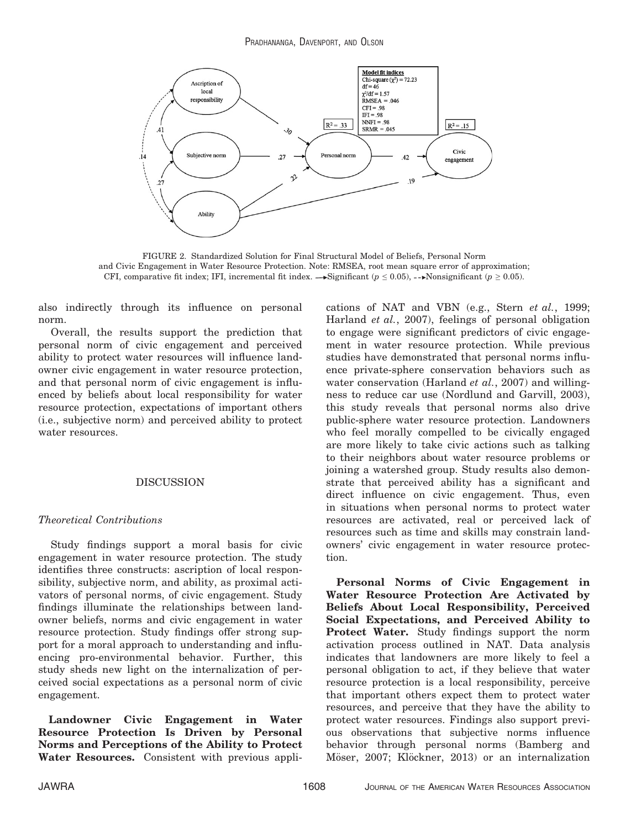#### PRADHANANGA, DAVENPORT, AND OLSON



FIGURE 2. Standardized Solution for Final Structural Model of Beliefs, Personal Norm and Civic Engagement in Water Resource Protection. Note: RMSEA, root mean square error of approximation; CFI, comparative fit index; IFI, incremental fit index.  $\rightarrow$  Significant ( $p \le 0.05$ ), - $\rightarrow$  Nonsignificant ( $p \ge 0.05$ ).

also indirectly through its influence on personal norm.

Overall, the results support the prediction that personal norm of civic engagement and perceived ability to protect water resources will influence landowner civic engagement in water resource protection, and that personal norm of civic engagement is influenced by beliefs about local responsibility for water resource protection, expectations of important others (i.e., subjective norm) and perceived ability to protect water resources.

### DISCUSSION

### Theoretical Contributions

Study findings support a moral basis for civic engagement in water resource protection. The study identifies three constructs: ascription of local responsibility, subjective norm, and ability, as proximal activators of personal norms, of civic engagement. Study findings illuminate the relationships between landowner beliefs, norms and civic engagement in water resource protection. Study findings offer strong support for a moral approach to understanding and influencing pro-environmental behavior. Further, this study sheds new light on the internalization of perceived social expectations as a personal norm of civic engagement.

Landowner Civic Engagement in Water Resource Protection Is Driven by Personal Norms and Perceptions of the Ability to Protect Water Resources. Consistent with previous appli-

cations of NAT and VBN (e.g., Stern et al., 1999; Harland et al., 2007), feelings of personal obligation to engage were significant predictors of civic engagement in water resource protection. While previous studies have demonstrated that personal norms influence private-sphere conservation behaviors such as water conservation (Harland et al., 2007) and willingness to reduce car use (Nordlund and Garvill, 2003), this study reveals that personal norms also drive public-sphere water resource protection. Landowners who feel morally compelled to be civically engaged are more likely to take civic actions such as talking to their neighbors about water resource problems or joining a watershed group. Study results also demonstrate that perceived ability has a significant and direct influence on civic engagement. Thus, even in situations when personal norms to protect water resources are activated, real or perceived lack of resources such as time and skills may constrain landowners' civic engagement in water resource protection.

Personal Norms of Civic Engagement in Water Resource Protection Are Activated by Beliefs About Local Responsibility, Perceived Social Expectations, and Perceived Ability to Protect Water. Study findings support the norm activation process outlined in NAT. Data analysis indicates that landowners are more likely to feel a personal obligation to act, if they believe that water resource protection is a local responsibility, perceive that important others expect them to protect water resources, and perceive that they have the ability to protect water resources. Findings also support previous observations that subjective norms influence behavior through personal norms (Bamberg and Möser, 2007; Klöckner, 2013) or an internalization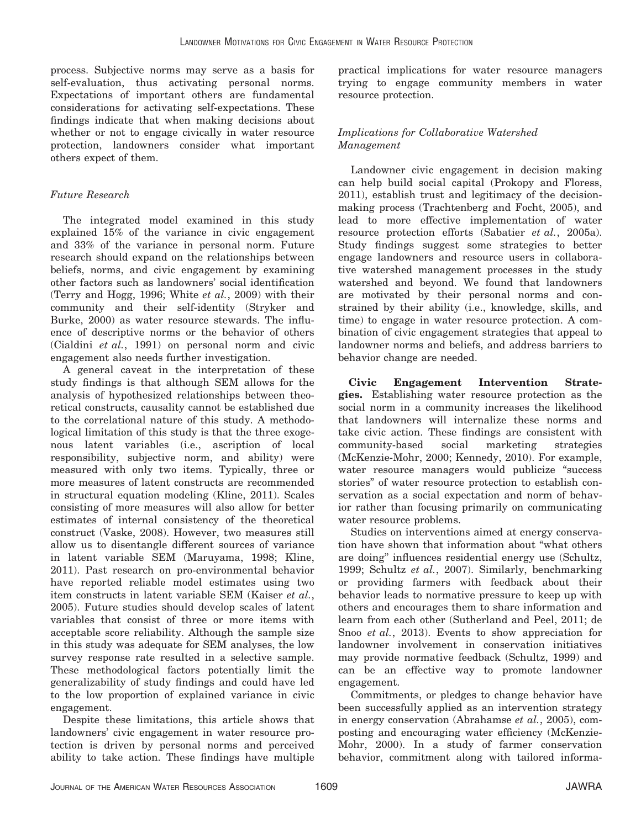process. Subjective norms may serve as a basis for self-evaluation, thus activating personal norms. Expectations of important others are fundamental considerations for activating self-expectations. These findings indicate that when making decisions about whether or not to engage civically in water resource protection, landowners consider what important others expect of them.

## Future Research

The integrated model examined in this study explained 15% of the variance in civic engagement and 33% of the variance in personal norm. Future research should expand on the relationships between beliefs, norms, and civic engagement by examining other factors such as landowners' social identification (Terry and Hogg, 1996; White et al., 2009) with their community and their self-identity (Stryker and Burke, 2000) as water resource stewards. The influence of descriptive norms or the behavior of others (Cialdini et al., 1991) on personal norm and civic engagement also needs further investigation.

A general caveat in the interpretation of these study findings is that although SEM allows for the analysis of hypothesized relationships between theoretical constructs, causality cannot be established due to the correlational nature of this study. A methodological limitation of this study is that the three exogenous latent variables (i.e., ascription of local responsibility, subjective norm, and ability) were measured with only two items. Typically, three or more measures of latent constructs are recommended in structural equation modeling (Kline, 2011). Scales consisting of more measures will also allow for better estimates of internal consistency of the theoretical construct (Vaske, 2008). However, two measures still allow us to disentangle different sources of variance in latent variable SEM (Maruyama, 1998; Kline, 2011). Past research on pro-environmental behavior have reported reliable model estimates using two item constructs in latent variable SEM (Kaiser et al., 2005). Future studies should develop scales of latent variables that consist of three or more items with acceptable score reliability. Although the sample size in this study was adequate for SEM analyses, the low survey response rate resulted in a selective sample. These methodological factors potentially limit the generalizability of study findings and could have led to the low proportion of explained variance in civic engagement.

Despite these limitations, this article shows that landowners' civic engagement in water resource protection is driven by personal norms and perceived ability to take action. These findings have multiple practical implications for water resource managers trying to engage community members in water resource protection.

### Implications for Collaborative Watershed Management

Landowner civic engagement in decision making can help build social capital (Prokopy and Floress, 2011), establish trust and legitimacy of the decisionmaking process (Trachtenberg and Focht, 2005), and lead to more effective implementation of water resource protection efforts (Sabatier et al., 2005a). Study findings suggest some strategies to better engage landowners and resource users in collaborative watershed management processes in the study watershed and beyond. We found that landowners are motivated by their personal norms and constrained by their ability (i.e., knowledge, skills, and time) to engage in water resource protection. A combination of civic engagement strategies that appeal to landowner norms and beliefs, and address barriers to behavior change are needed.

Civic Engagement Intervention Strategies. Establishing water resource protection as the social norm in a community increases the likelihood that landowners will internalize these norms and take civic action. These findings are consistent with community-based social marketing strategies (McKenzie-Mohr, 2000; Kennedy, 2010). For example, water resource managers would publicize "success stories" of water resource protection to establish conservation as a social expectation and norm of behavior rather than focusing primarily on communicating water resource problems.

Studies on interventions aimed at energy conservation have shown that information about "what others are doing" influences residential energy use (Schultz, 1999; Schultz et al., 2007). Similarly, benchmarking or providing farmers with feedback about their behavior leads to normative pressure to keep up with others and encourages them to share information and learn from each other (Sutherland and Peel, 2011; de Snoo et al., 2013). Events to show appreciation for landowner involvement in conservation initiatives may provide normative feedback (Schultz, 1999) and can be an effective way to promote landowner engagement.

Commitments, or pledges to change behavior have been successfully applied as an intervention strategy in energy conservation (Abrahamse et al., 2005), composting and encouraging water efficiency (McKenzie-Mohr, 2000). In a study of farmer conservation behavior, commitment along with tailored informa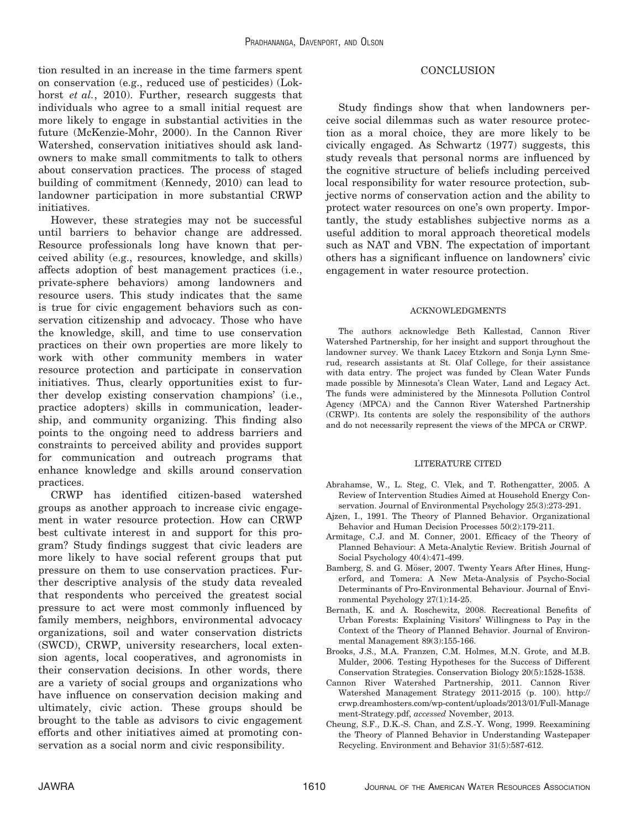tion resulted in an increase in the time farmers spent on conservation (e.g., reduced use of pesticides) (Lokhorst *et al.*, 2010). Further, research suggests that individuals who agree to a small initial request are more likely to engage in substantial activities in the future (McKenzie-Mohr, 2000). In the Cannon River Watershed, conservation initiatives should ask landowners to make small commitments to talk to others about conservation practices. The process of staged building of commitment (Kennedy, 2010) can lead to landowner participation in more substantial CRWP initiatives.

However, these strategies may not be successful until barriers to behavior change are addressed. Resource professionals long have known that perceived ability (e.g., resources, knowledge, and skills) affects adoption of best management practices (i.e., private-sphere behaviors) among landowners and resource users. This study indicates that the same is true for civic engagement behaviors such as conservation citizenship and advocacy. Those who have the knowledge, skill, and time to use conservation practices on their own properties are more likely to work with other community members in water resource protection and participate in conservation initiatives. Thus, clearly opportunities exist to further develop existing conservation champions' (i.e., practice adopters) skills in communication, leadership, and community organizing. This finding also points to the ongoing need to address barriers and constraints to perceived ability and provides support for communication and outreach programs that enhance knowledge and skills around conservation practices.

CRWP has identified citizen-based watershed groups as another approach to increase civic engagement in water resource protection. How can CRWP best cultivate interest in and support for this program? Study findings suggest that civic leaders are more likely to have social referent groups that put pressure on them to use conservation practices. Further descriptive analysis of the study data revealed that respondents who perceived the greatest social pressure to act were most commonly influenced by family members, neighbors, environmental advocacy organizations, soil and water conservation districts (SWCD), CRWP, university researchers, local extension agents, local cooperatives, and agronomists in their conservation decisions. In other words, there are a variety of social groups and organizations who have influence on conservation decision making and ultimately, civic action. These groups should be brought to the table as advisors to civic engagement efforts and other initiatives aimed at promoting conservation as a social norm and civic responsibility.

### **CONCLUSION**

Study findings show that when landowners perceive social dilemmas such as water resource protection as a moral choice, they are more likely to be civically engaged. As Schwartz (1977) suggests, this study reveals that personal norms are influenced by the cognitive structure of beliefs including perceived local responsibility for water resource protection, subjective norms of conservation action and the ability to protect water resources on one's own property. Importantly, the study establishes subjective norms as a useful addition to moral approach theoretical models such as NAT and VBN. The expectation of important others has a significant influence on landowners' civic engagement in water resource protection.

#### ACKNOWLEDGMENTS

The authors acknowledge Beth Kallestad, Cannon River Watershed Partnership, for her insight and support throughout the landowner survey. We thank Lacey Etzkorn and Sonja Lynn Smerud, research assistants at St. Olaf College, for their assistance with data entry. The project was funded by Clean Water Funds made possible by Minnesota's Clean Water, Land and Legacy Act. The funds were administered by the Minnesota Pollution Control Agency (MPCA) and the Cannon River Watershed Partnership (CRWP). Its contents are solely the responsibility of the authors and do not necessarily represent the views of the MPCA or CRWP.

#### LITERATURE CITED

- Abrahamse, W., L. Steg, C. Vlek, and T. Rothengatter, 2005. A Review of Intervention Studies Aimed at Household Energy Conservation. Journal of Environmental Psychology 25(3):273-291.
- Ajzen, I., 1991. The Theory of Planned Behavior. Organizational Behavior and Human Decision Processes 50(2):179-211.
- Armitage, C.J. and M. Conner, 2001. Efficacy of the Theory of Planned Behaviour: A Meta-Analytic Review. British Journal of Social Psychology 40(4):471-499.
- Bamberg, S. and G. Möser, 2007. Twenty Years After Hines, Hungerford, and Tomera: A New Meta-Analysis of Psycho-Social Determinants of Pro-Environmental Behaviour. Journal of Environmental Psychology 27(1):14-25.
- Bernath, K. and A. Roschewitz, 2008. Recreational Benefits of Urban Forests: Explaining Visitors' Willingness to Pay in the Context of the Theory of Planned Behavior. Journal of Environmental Management 89(3):155-166.
- Brooks, J.S., M.A. Franzen, C.M. Holmes, M.N. Grote, and M.B. Mulder, 2006. Testing Hypotheses for the Success of Different Conservation Strategies. Conservation Biology 20(5):1528-1538.
- Cannon River Watershed Partnership, 2011. Cannon River Watershed Management Strategy 2011-2015 (p. 100). [http://](http://crwp.dreamhosters.com/wp-content/uploads/2013/01/Full-Management-Strategy.pdf) [crwp.dreamhosters.com/wp-content/uploads/2013/01/Full-Manage](http://crwp.dreamhosters.com/wp-content/uploads/2013/01/Full-Management-Strategy.pdf) [ment-Strategy.pdf,](http://crwp.dreamhosters.com/wp-content/uploads/2013/01/Full-Management-Strategy.pdf) accessed November, 2013.
- Cheung, S.F., D.K.-S. Chan, and Z.S.-Y. Wong, 1999. Reexamining the Theory of Planned Behavior in Understanding Wastepaper Recycling. Environment and Behavior 31(5):587-612.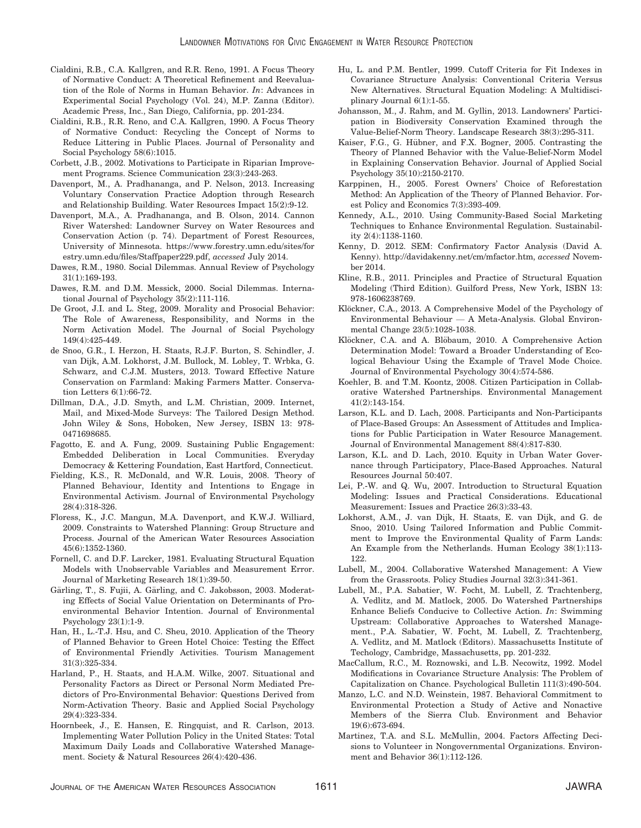- Cialdini, R.B., C.A. Kallgren, and R.R. Reno, 1991. A Focus Theory of Normative Conduct: A Theoretical Refinement and Reevaluation of the Role of Norms in Human Behavior. In: Advances in Experimental Social Psychology (Vol. 24), M.P. Zanna (Editor). Academic Press, Inc., San Diego, California, pp. 201-234.
- Cialdini, R.B., R.R. Reno, and C.A. Kallgren, 1990. A Focus Theory of Normative Conduct: Recycling the Concept of Norms to Reduce Littering in Public Places. Journal of Personality and Social Psychology 58(6):1015.
- Corbett, J.B., 2002. Motivations to Participate in Riparian Improvement Programs. Science Communication 23(3):243-263.
- Davenport, M., A. Pradhananga, and P. Nelson, 2013. Increasing Voluntary Conservation Practice Adoption through Research and Relationship Building. Water Resources Impact 15(2):9-12.
- Davenport, M.A., A. Pradhananga, and B. Olson, 2014. Cannon River Watershed: Landowner Survey on Water Resources and Conservation Action (p. 74). Department of Forest Resources, University of Minnesota. [https://www.forestry.umn.edu/sites/for](https://www.forestry.umn.edu/sites/forestry.umn.edu/files/Staffpaper229.pdf) [estry.umn.edu/files/Staffpaper229.pdf,](https://www.forestry.umn.edu/sites/forestry.umn.edu/files/Staffpaper229.pdf) accessed July 2014.
- Dawes, R.M., 1980. Social Dilemmas. Annual Review of Psychology 31(1):169-193.
- Dawes, R.M. and D.M. Messick, 2000. Social Dilemmas. International Journal of Psychology 35(2):111-116.
- De Groot, J.I. and L. Steg, 2009. Morality and Prosocial Behavior: The Role of Awareness, Responsibility, and Norms in the Norm Activation Model. The Journal of Social Psychology 149(4):425-449.
- de Snoo, G.R., I. Herzon, H. Staats, R.J.F. Burton, S. Schindler, J. van Dijk, A.M. Lokhorst, J.M. Bullock, M. Lobley, T. Wrbka, G. Schwarz, and C.J.M. Musters, 2013. Toward Effective Nature Conservation on Farmland: Making Farmers Matter. Conservation Letters 6(1):66-72.
- Dillman, D.A., J.D. Smyth, and L.M. Christian, 2009. Internet, Mail, and Mixed-Mode Surveys: The Tailored Design Method. John Wiley & Sons, Hoboken, New Jersey, ISBN 13: 978- 0471698685.
- Fagotto, E. and A. Fung, 2009. Sustaining Public Engagement: Embedded Deliberation in Local Communities. Everyday Democracy & Kettering Foundation, East Hartford, Connecticut.
- Fielding, K.S., R. McDonald, and W.R. Louis, 2008. Theory of Planned Behaviour, Identity and Intentions to Engage in Environmental Activism. Journal of Environmental Psychology 28(4):318-326.
- Floress, K., J.C. Mangun, M.A. Davenport, and K.W.J. Williard, 2009. Constraints to Watershed Planning: Group Structure and Process. Journal of the American Water Resources Association 45(6):1352-1360.
- Fornell, C. and D.F. Larcker, 1981. Evaluating Structural Equation Models with Unobservable Variables and Measurement Error. Journal of Marketing Research 18(1):39-50.
- Gärling, T., S. Fujii, A. Gärling, and C. Jakobsson, 2003. Moderating Effects of Social Value Orientation on Determinants of Proenvironmental Behavior Intention. Journal of Environmental Psychology 23(1):1-9.
- Han, H., L.-T.J. Hsu, and C. Sheu, 2010. Application of the Theory of Planned Behavior to Green Hotel Choice: Testing the Effect of Environmental Friendly Activities. Tourism Management 31(3):325-334.
- Harland, P., H. Staats, and H.A.M. Wilke, 2007. Situational and Personality Factors as Direct or Personal Norm Mediated Predictors of Pro-Environmental Behavior: Questions Derived from Norm-Activation Theory. Basic and Applied Social Psychology 29(4):323-334.
- Hoornbeek, J., E. Hansen, E. Ringquist, and R. Carlson, 2013. Implementing Water Pollution Policy in the United States: Total Maximum Daily Loads and Collaborative Watershed Management. Society & Natural Resources 26(4):420-436.
- Hu, L. and P.M. Bentler, 1999. Cutoff Criteria for Fit Indexes in Covariance Structure Analysis: Conventional Criteria Versus New Alternatives. Structural Equation Modeling: A Multidisciplinary Journal 6(1):1-55.
- Johansson, M., J. Rahm, and M. Gyllin, 2013. Landowners' Participation in Biodiversity Conservation Examined through the Value-Belief-Norm Theory. Landscape Research 38(3):295-311.
- Kaiser, F.G., G. Hübner, and F.X. Bogner, 2005. Contrasting the Theory of Planned Behavior with the Value-Belief-Norm Model in Explaining Conservation Behavior. Journal of Applied Social Psychology 35(10):2150-2170.
- Karppinen, H., 2005. Forest Owners' Choice of Reforestation Method: An Application of the Theory of Planned Behavior. Forest Policy and Economics 7(3):393-409.
- Kennedy, A.L., 2010. Using Community-Based Social Marketing Techniques to Enhance Environmental Regulation. Sustainability 2(4):1138-1160.
- Kenny, D. 2012. SEM: Confirmatory Factor Analysis (David A. Kenny).<http://davidakenny.net/cm/mfactor.htm>, accessed November 2014.
- Kline, R.B., 2011. Principles and Practice of Structural Equation Modeling (Third Edition). Guilford Press, New York, ISBN 13: 978-1606238769.
- Klöckner, C.A., 2013. A Comprehensive Model of the Psychology of Environmental Behaviour — A Meta-Analysis. Global Environmental Change 23(5):1028-1038.
- Klöckner, C.A. and A. Blöbaum, 2010. A Comprehensive Action Determination Model: Toward a Broader Understanding of Ecological Behaviour Using the Example of Travel Mode Choice. Journal of Environmental Psychology 30(4):574-586.
- Koehler, B. and T.M. Koontz, 2008. Citizen Participation in Collaborative Watershed Partnerships. Environmental Management 41(2):143-154.
- Larson, K.L. and D. Lach, 2008. Participants and Non-Participants of Place-Based Groups: An Assessment of Attitudes and Implications for Public Participation in Water Resource Management. Journal of Environmental Management 88(4):817-830.
- Larson, K.L. and D. Lach, 2010. Equity in Urban Water Governance through Participatory, Place-Based Approaches. Natural Resources Journal 50:407.
- Lei, P.-W. and Q. Wu, 2007. Introduction to Structural Equation Modeling: Issues and Practical Considerations. Educational Measurement: Issues and Practice 26(3):33-43.
- Lokhorst, A.M., J. van Dijk, H. Staats, E. van Dijk, and G. de Snoo, 2010. Using Tailored Information and Public Commitment to Improve the Environmental Quality of Farm Lands: An Example from the Netherlands. Human Ecology 38(1):113- 122.
- Lubell, M., 2004. Collaborative Watershed Management: A View from the Grassroots. Policy Studies Journal 32(3):341-361.
- Lubell, M., P.A. Sabatier, W. Focht, M. Lubell, Z. Trachtenberg, A. Vedlitz, and M. Matlock, 2005. Do Watershed Partnerships Enhance Beliefs Conducive to Collective Action. In: Swimming Upstream: Collaborative Approaches to Watershed Management., P.A. Sabatier, W. Focht, M. Lubell, Z. Trachtenberg, A. Vedlitz, and M. Matlock (Editors). Massachusetts Institute of Techology, Cambridge, Massachusetts, pp. 201-232.
- MacCallum, R.C., M. Roznowski, and L.B. Necowitz, 1992. Model Modifications in Covariance Structure Analysis: The Problem of Capitalization on Chance. Psychological Bulletin 111(3):490-504.
- Manzo, L.C. and N.D. Weinstein, 1987. Behavioral Commitment to Environmental Protection a Study of Active and Nonactive Members of the Sierra Club. Environment and Behavior 19(6):673-694.
- Martinez, T.A. and S.L. McMullin, 2004. Factors Affecting Decisions to Volunteer in Nongovernmental Organizations. Environment and Behavior 36(1):112-126.